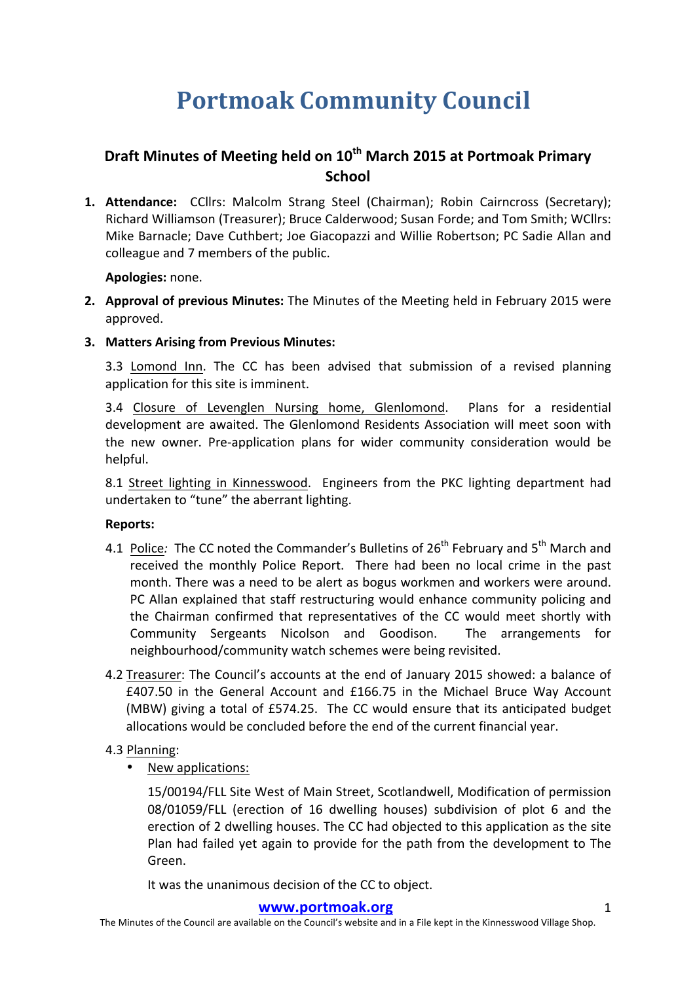# **Portmoak Community Council**

## **Draft Minutes of Meeting held on 10<sup>th</sup> March 2015 at Portmoak Primary School**

**1. Attendance:** CCllrs: Malcolm Strang Steel (Chairman); Robin Cairncross (Secretary); Richard Williamson (Treasurer); Bruce Calderwood; Susan Forde; and Tom Smith; WCllrs: Mike Barnacle; Dave Cuthbert; Joe Giacopazzi and Willie Robertson; PC Sadie Allan and colleague and 7 members of the public.

**Apologies:** none.

- **2.** Approval of previous Minutes: The Minutes of the Meeting held in February 2015 were approved.
- **3.** Matters Arising from Previous Minutes:

3.3 Lomond Inn. The CC has been advised that submission of a revised planning application for this site is imminent.

3.4 Closure of Levenglen Nursing home, Glenlomond. Plans for a residential development are awaited. The Glenlomond Residents Association will meet soon with the new owner. Pre-application plans for wider community consideration would be helpful. 

8.1 Street lighting in Kinnesswood. Engineers from the PKC lighting department had undertaken to "tune" the aberrant lighting.

### **Reports:**

- 4.1 Police: The CC noted the Commander's Bulletins of 26<sup>th</sup> February and 5<sup>th</sup> March and received the monthly Police Report. There had been no local crime in the past month. There was a need to be alert as bogus workmen and workers were around. PC Allan explained that staff restructuring would enhance community policing and the Chairman confirmed that representatives of the CC would meet shortly with Community Sergeants Nicolson and Goodison. The arrangements for neighbourhood/community watch schemes were being revisited.
- 4.2 Treasurer: The Council's accounts at the end of January 2015 showed: a balance of  $£407.50$  in the General Account and  $£166.75$  in the Michael Bruce Way Account (MBW) giving a total of £574.25. The CC would ensure that its anticipated budget allocations would be concluded before the end of the current financial year.

### 4.3 Planning:

• New applications:

15/00194/FLL Site West of Main Street, Scotlandwell, Modification of permission 08/01059/FLL (erection of 16 dwelling houses) subdivision of plot 6 and the erection of 2 dwelling houses. The CC had objected to this application as the site Plan had failed yet again to provide for the path from the development to The Green.

It was the unanimous decision of the CC to object.

### **www.portmoak.org** 1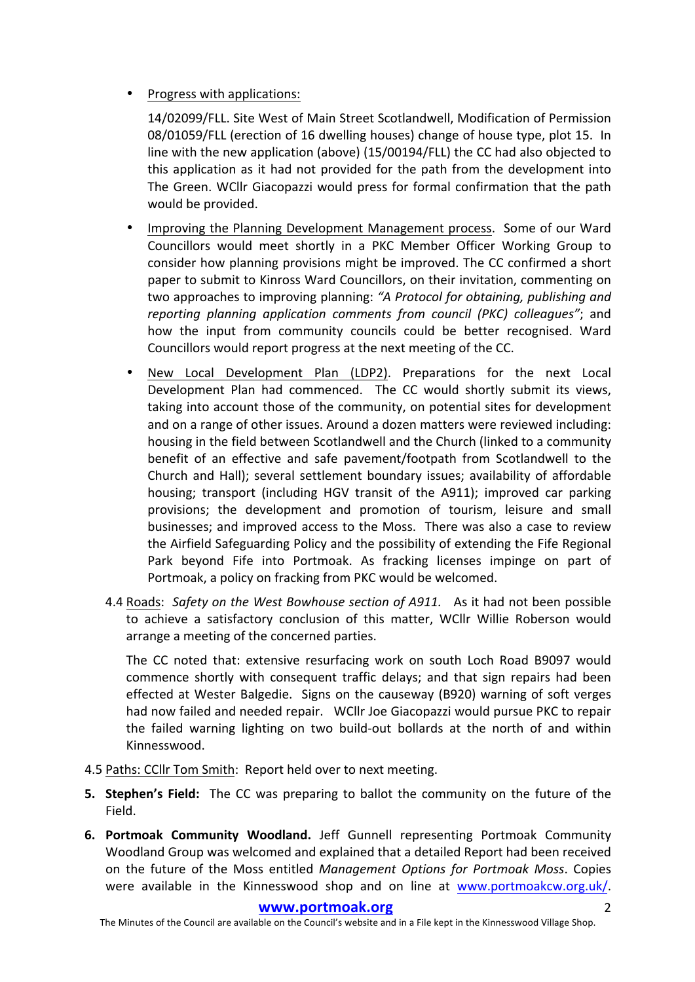Progress with applications:

14/02099/FLL. Site West of Main Street Scotlandwell, Modification of Permission 08/01059/FLL (erection of 16 dwelling houses) change of house type, plot 15. In line with the new application (above)  $(15/00194/FLL)$  the CC had also objected to this application as it had not provided for the path from the development into The Green. WCllr Giacopazzi would press for formal confirmation that the path would be provided.

- Improving the Planning Development Management process. Some of our Ward Councillors would meet shortly in a PKC Member Officer Working Group to consider how planning provisions might be improved. The CC confirmed a short paper to submit to Kinross Ward Councillors, on their invitation, commenting on two approaches to improving planning: "A Protocol for obtaining, publishing and *reporting planning application comments from council (PKC) colleagues"*; and how the input from community councils could be better recognised. Ward Councillors would report progress at the next meeting of the CC.
- New Local Development Plan (LDP2). Preparations for the next Local Development Plan had commenced. The CC would shortly submit its views, taking into account those of the community, on potential sites for development and on a range of other issues. Around a dozen matters were reviewed including: housing in the field between Scotlandwell and the Church (linked to a community benefit of an effective and safe pavement/footpath from Scotlandwell to the Church and Hall); several settlement boundary issues; availability of affordable housing; transport (including HGV transit of the A911); improved car parking provisions; the development and promotion of tourism, leisure and small businesses; and improved access to the Moss. There was also a case to review the Airfield Safeguarding Policy and the possibility of extending the Fife Regional Park beyond Fife into Portmoak. As fracking licenses impinge on part of Portmoak, a policy on fracking from PKC would be welcomed.
- 4.4 Roads: Safety on the West Bowhouse section of A911. As it had not been possible to achieve a satisfactory conclusion of this matter, WCllr Willie Roberson would arrange a meeting of the concerned parties.

The CC noted that: extensive resurfacing work on south Loch Road B9097 would commence shortly with consequent traffic delays; and that sign repairs had been effected at Wester Balgedie. Signs on the causeway (B920) warning of soft verges had now failed and needed repair. WCllr Joe Giacopazzi would pursue PKC to repair the failed warning lighting on two build-out bollards at the north of and within Kinnesswood. 

- 4.5 Paths: CCllr Tom Smith: Report held over to next meeting.
- **5. Stephen's Field:** The CC was preparing to ballot the community on the future of the Field.
- **6. Portmoak Community Woodland.** Jeff Gunnell representing Portmoak Community Woodland Group was welcomed and explained that a detailed Report had been received on the future of the Moss entitled *Management Options for Portmoak Moss*. Copies were available in the Kinnesswood shop and on line at www.portmoakcw.org.uk/.

#### www.portmoak.org

The Minutes of the Council are available on the Council's website and in a File kept in the Kinnesswood Village Shop.